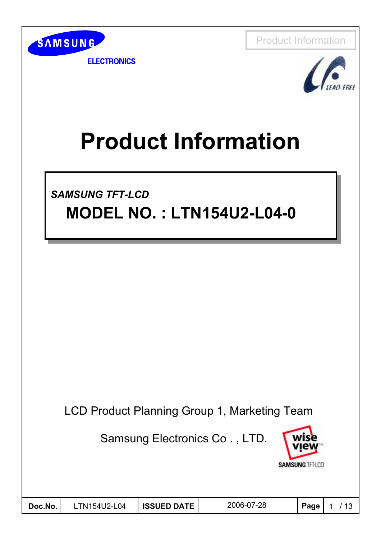



**ELECTRONICS** 



# **Product Information**

*SAMSUNG TFT-LCD SAMSUNG TFT-LCD* **MODEL NO. : LTN154U2-L04-0 MODEL NO. : LTN154U2-L04-0**

LCD Product Planning Group 1, Marketing Team

Samsung Electronics Co . , LTD.



| Doc.No. | LTN154U2-L04 | <b>ISSUED DATE</b> | 2006-07-28 | Page | $\sim$ 12 |
|---------|--------------|--------------------|------------|------|-----------|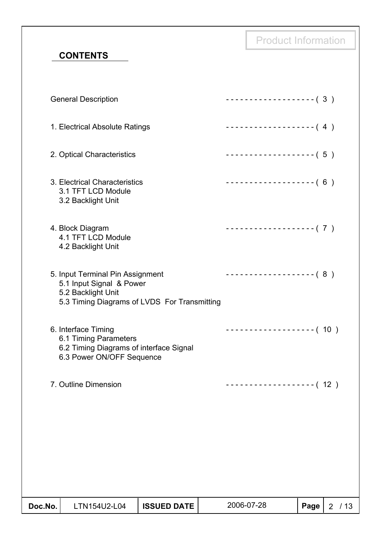**CONTENTS**

| Doc.No. | LTN154U2-L04                                                                                                                       | <b>ISSUED DATE</b> | 2006-07-28                 | Page | 2 / 13 |
|---------|------------------------------------------------------------------------------------------------------------------------------------|--------------------|----------------------------|------|--------|
|         |                                                                                                                                    |                    |                            |      |        |
|         | 7. Outline Dimension                                                                                                               |                    | -------------------- (12 ) |      |        |
|         | 6. Interface Timing<br>6.1 Timing Parameters<br>6.2 Timing Diagrams of interface Signal<br>6.3 Power ON/OFF Sequence               |                    | $------------( 10 )$       |      |        |
|         | 5. Input Terminal Pin Assignment<br>5.1 Input Signal & Power<br>5.2 Backlight Unit<br>5.3 Timing Diagrams of LVDS For Transmitting |                    | ------------------- (8)    |      |        |
|         | 4. Block Diagram<br>4.1 TFT LCD Module<br>4.2 Backlight Unit                                                                       |                    | ------------------- (7)    |      |        |
|         | 3. Electrical Characteristics<br>3.1 TFT LCD Module<br>3.2 Backlight Unit                                                          |                    | $------------(6)$          |      |        |
|         | 2. Optical Characteristics                                                                                                         |                    | -------------------- (5)   |      |        |
|         | 1. Electrical Absolute Ratings                                                                                                     |                    | $------------(4)$          |      |        |
|         | <b>General Description</b>                                                                                                         |                    | $------------(3)$          |      |        |
|         |                                                                                                                                    |                    |                            |      |        |

Product Information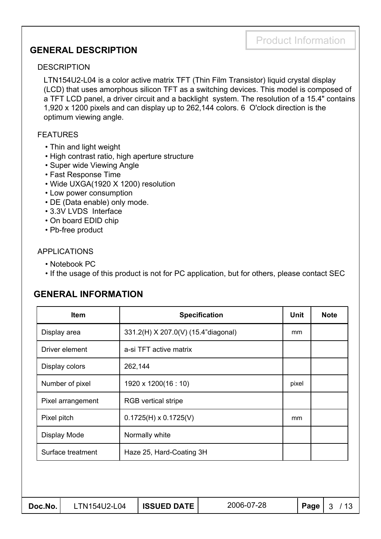#### **GENERAL DESCRIPTION**

#### **DESCRIPTION**

LTN154U2-L04 is a color active matrix TFT (Thin Film Transistor) liquid crystal display (LCD) that uses amorphous silicon TFT as a switching devices. This model is composed of a TFT LCD panel, a driver circuit and a backlight system. The resolution of a 15.4" contains 1,920 x 1200 pixels and can display up to 262,144 colors. 6 O'clock direction is the optimum viewing angle.

#### FEATURES

- Thin and light weight
- High contrast ratio, high aperture structure
- Super wide Viewing Angle
- Fast Response Time
- Wide UXGA(1920 X 1200) resolution
- Low power consumption
- DE (Data enable) only mode.
- 3.3V LVDS Interface
- On board EDID chip
- Pb-free product

#### APPLICATIONS

- Notebook PC
- If the usage of this product is not for PC application, but for others, please contact SEC

#### **GENERAL INFORMATION**

| <b>Item</b>       | <b>Specification</b>                | Unit  | <b>Note</b> |
|-------------------|-------------------------------------|-------|-------------|
| Display area      | 331.2(H) X 207.0(V) (15.4"diagonal) | mm    |             |
| Driver element    | a-si TFT active matrix              |       |             |
| Display colors    | 262,144                             |       |             |
| Number of pixel   | 1920 x 1200(16 : 10)                | pixel |             |
| Pixel arrangement | <b>RGB</b> vertical stripe          |       |             |
| Pixel pitch       | $0.1725(H) \times 0.1725(V)$        | mm    |             |
| Display Mode      | Normally white                      |       |             |
| Surface treatment | Haze 25, Hard-Coating 3H            |       |             |
|                   |                                     |       |             |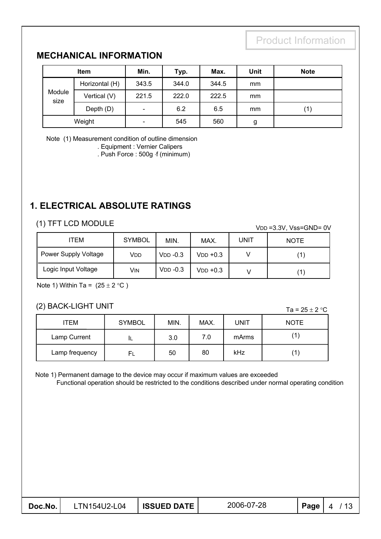#### **MECHANICAL INFORMATION**

| <b>Item</b>    |                | Min.   | Typ.  | Max.  | <b>Unit</b> | <b>Note</b> |
|----------------|----------------|--------|-------|-------|-------------|-------------|
|                | Horizontal (H) | 343.5  | 344.0 | 344.5 | mm          |             |
| Module<br>size | Vertical (V)   | 221.5  | 222.0 | 222.5 | mm          |             |
|                | Depth (D)      | $\sim$ | 6.2   | 6.5   | mm          | (1)         |
| Weight         |                | -      | 545   | 560   | g           |             |

Note (1) Measurement condition of outline dimension

. Equipment : Vernier Calipers

. Push Force : 500g f (minimum)

### **1. ELECTRICAL ABSOLUTE RATINGS**

#### (1) TFT LCD MODULE

VDD =3.3V, Vss=GND= 0V

| ITEM                 | <b>SYMBOL</b> | MIN.       | MAX.          | <b>UNIT</b> | <b>NOTE</b> |
|----------------------|---------------|------------|---------------|-------------|-------------|
| Power Supply Voltage | Vdd           | $VDD -0.3$ | $VDD +0.3$    |             |             |
| Logic Input Voltage  | Vin           | $VDD -0.3$ | $V$ DD $+0.3$ |             |             |

Note 1) Within Ta =  $(25 \pm 2 \degree C)$ 

#### (2) BACK-LIGHT UNIT

Ta =  $25 \pm 2$  °C

| ITEM           | <b>SYMBOL</b> | MIN. | MAX. | <b>UNIT</b> | <b>NOTE</b> |
|----------------|---------------|------|------|-------------|-------------|
| Lamp Current   | ᄔ             | 3.0  | 7.0  | mArms       | (1.         |
| Lamp frequency | FL            | 50   | 80   | kHz         | (1          |

Note 1) Permanent damage to the device may occur if maximum values are exceeded

Functional operation should be restricted to the conditions described under normal operating condition

| Doc.No. | .TN154U2-L04 | <b>ISSUED DATE</b> | 2006-07-28 | Page |  |
|---------|--------------|--------------------|------------|------|--|
|---------|--------------|--------------------|------------|------|--|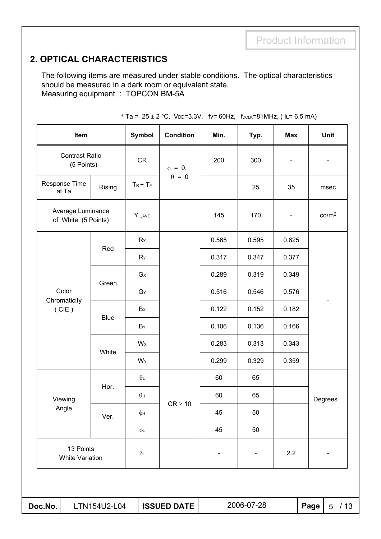### **2. OPTICAL CHARACTERISTICS**

The following items are measured under stable conditions. The optical characteristics should be measured in a dark room or equivalent state. Measuring equipment : TOPCON BM-5A

| Item                                     |             | <b>Symbol</b>    | <b>Condition</b>   | Min.  | Typ.       | <b>Max</b>                   |      |                                              |  |
|------------------------------------------|-------------|------------------|--------------------|-------|------------|------------------------------|------|----------------------------------------------|--|
| <b>Contrast Ratio</b><br>(5 Points)      |             | CR               | $\phi = 0$ ,       | 200   | 300        | $\qquad \qquad \blacksquare$ |      |                                              |  |
| Response Time<br>at Ta                   | Rising      |                  | $\theta = 0$       |       | 25         | 35                           |      |                                              |  |
| Average Luminance<br>of White (5 Points) |             | $Y_{L,AVE}$      |                    | 145   | 170        | $\qquad \qquad \blacksquare$ |      |                                              |  |
| Color                                    |             | Rx               |                    | 0.565 | 0.595      | 0.625                        |      |                                              |  |
|                                          | Red         | $R_Y$            |                    | 0.317 | 0.347      | 0.377                        |      | Unit<br>msec<br>cd/m <sup>2</sup><br>Degrees |  |
|                                          |             | $G_{X}$          |                    | 0.289 | 0.319      | 0.349                        |      |                                              |  |
|                                          | Green       | $G_Y$            |                    | 0.516 | 0.546      | 0.576                        |      |                                              |  |
| Chromaticity<br>(CIE)                    |             | Bx               |                    | 0.122 | 0.152      | 0.182                        |      |                                              |  |
|                                          | <b>Blue</b> | $B_Y$            |                    | 0.106 | 0.136      | 0.166                        |      |                                              |  |
|                                          |             | Wx               |                    | 0.283 | 0.313      | 0.343                        |      |                                              |  |
|                                          | White       | WY               |                    | 0.299 | 0.329      | 0.359                        |      |                                              |  |
|                                          |             | $\theta$         |                    | 60    | 65         |                              |      |                                              |  |
| Viewing                                  | Hor.        | $\theta$ н       |                    | 60    | 65         |                              |      |                                              |  |
| Angle                                    | Ver.        | φн               | $CR \ge 10$        | 45    | 50         |                              |      |                                              |  |
|                                          |             | φL               |                    | 45    | 50         |                              |      |                                              |  |
| 13 Points<br><b>White Variation</b>      |             | $\delta\text{L}$ |                    |       |            | 2.2                          |      |                                              |  |
|                                          |             |                  |                    |       |            |                              |      |                                              |  |
| Doc.No.<br>LTN154U2-L04                  |             |                  | <b>ISSUED DATE</b> |       | 2006-07-28 |                              | Page | 5/13                                         |  |

|  |  | * Ta = 25 ± 2 °C, VDD=3.3V, fv= 60Hz, fDCLK=81MHz, (IL= 6.5 mA) |  |
|--|--|-----------------------------------------------------------------|--|
|  |  |                                                                 |  |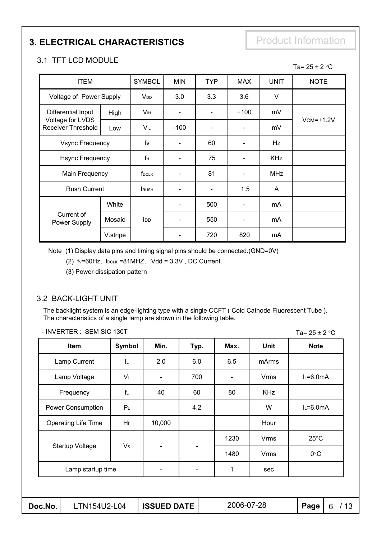# **3. ELECTRICAL CHARACTERISTICS** Product Information

Ta=  $25 \pm 2$  °C

#### 3.1 TFT LCD MODULE

| <b>ITEM</b>                                                         |          | <b>SYMBOL</b>   | <b>MIN</b> | <b>TYP</b> | <b>MAX</b>     | <b>UNIT</b> | <b>NOTE</b>   |
|---------------------------------------------------------------------|----------|-----------------|------------|------------|----------------|-------------|---------------|
| Voltage of Power Supply                                             |          | V <sub>DD</sub> | 3.0        | 3.3        | 3.6            | V           |               |
| Differential Input<br>Voltage for LVDS<br><b>Receiver Threshold</b> | High     | V <sub>IH</sub> |            |            | $+100$         | mV          |               |
|                                                                     | Low      | VIL             | $-100$     |            |                | mV          | $VCM = +1.2V$ |
| <b>Vsync Frequency</b>                                              |          | fv              |            | 60         |                | Hz          |               |
| <b>Hsync Frequency</b>                                              |          | $f_H$           |            | 75         |                | <b>KHz</b>  |               |
| Main Frequency                                                      |          | <b>f</b> DCLK   |            | 81         | $\blacksquare$ | <b>MHz</b>  |               |
| <b>Rush Current</b>                                                 |          | <b>RUSH</b>     |            |            | 1.5            | A           |               |
|                                                                     | White    |                 |            | 500        |                | mA          |               |
| Current of<br>Power Supply                                          | Mosaic   | <b>I</b> DD     |            | 550        |                | mA          |               |
|                                                                     | V.stripe |                 |            | 720        | 820            | mA          |               |

Note (1) Display data pins and timing signal pins should be connected.(GND=0V)

(2)  $f_v=60Hz$ ,  $f_{DCLK} = 81MHz$ ,  $Vdd = 3.3V$ , DC Current.

(3) Power dissipation pattern

#### 3.2 BACK-LIGHT UNIT

The backlight system is an edge-lighting type with a single CCFT ( Cold Cathode Fluorescent Tube ). The characteristics of a single lamp are shown in the following table.

| Symbol            | Min.                         |      |      |             |                |
|-------------------|------------------------------|------|------|-------------|----------------|
|                   |                              | Typ. | Max. | <b>Unit</b> | <b>Note</b>    |
| ΙL.               | 2.0                          | 6.0  | 6.5  | mArms       |                |
| VL.               | $\overline{a}$               | 700  |      | <b>Vrms</b> | $L=6.0mA$      |
| $f_L$             | 40                           | 60   | 80   | <b>KHz</b>  |                |
| $P_L$             |                              | 4.2  |      | W           | $L=6.0mA$      |
| Hr                | 10,000                       |      |      | Hour        |                |
|                   |                              |      | 1230 | <b>Vrms</b> | $25^{\circ}$ C |
|                   | $\qquad \qquad \blacksquare$ |      | 1480 | <b>Vrms</b> | $0^{\circ}$ C  |
| Lamp startup time | -                            |      | 1    | sec         |                |
|                   | $V_{\rm S}$                  |      |      |             |                |

- INVERTER : SEM SIC 130T

**Doc.No.** LTN154U2-L04 | **ISSUED DATE** | 2006-07-28 | **Page** | 6 / 13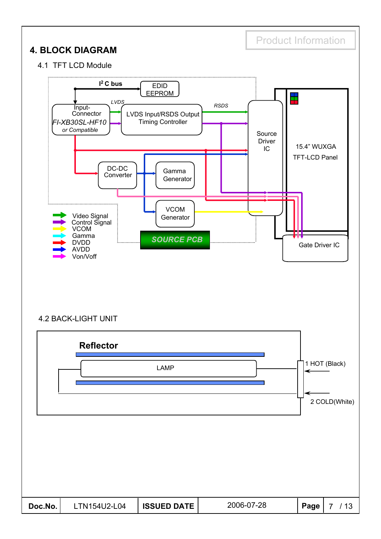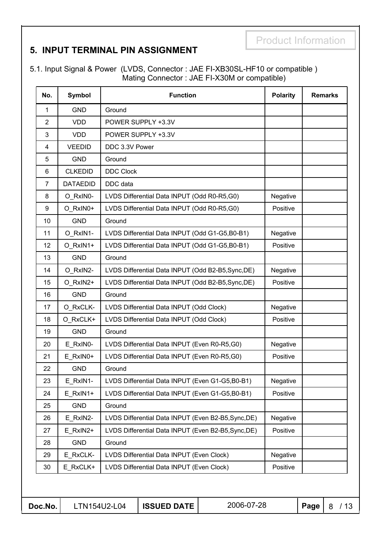#### **5. INPUT TERMINAL PIN ASSIGNMENT**

5.1. Input Signal & Power (LVDS, Connector : JAE FI-XB30SL-HF10 or compatible ) Mating Connector : JAE FI-X30M or compatible)

| No.            | <b>Symbol</b>   |                  | <b>Function</b>                                     |            | <b>Polarity</b> |      | <b>Remarks</b> |
|----------------|-----------------|------------------|-----------------------------------------------------|------------|-----------------|------|----------------|
| 1              | <b>GND</b>      | Ground           |                                                     |            |                 |      |                |
| $\overline{2}$ | <b>VDD</b>      |                  | POWER SUPPLY +3.3V                                  |            |                 |      |                |
| 3              | <b>VDD</b>      |                  | POWER SUPPLY +3.3V                                  |            |                 |      |                |
| 4              | <b>VEEDID</b>   | DDC 3.3V Power   |                                                     |            |                 |      |                |
| 5              | <b>GND</b>      | Ground           |                                                     |            |                 |      |                |
| 6              | <b>CLKEDID</b>  | <b>DDC Clock</b> |                                                     |            |                 |      |                |
| $\overline{7}$ | <b>DATAEDID</b> | DDC data         |                                                     |            |                 |      |                |
| 8              | O_RxIN0-        |                  | LVDS Differential Data INPUT (Odd R0-R5,G0)         |            | Negative        |      |                |
| 9              | O RxIN0+        |                  | LVDS Differential Data INPUT (Odd R0-R5,G0)         |            | Positive        |      |                |
| 10             | <b>GND</b>      | Ground           |                                                     |            |                 |      |                |
| 11             | O RxIN1-        |                  | LVDS Differential Data INPUT (Odd G1-G5,B0-B1)      |            | Negative        |      |                |
| 12             | O_RxIN1+        |                  | LVDS Differential Data INPUT (Odd G1-G5,B0-B1)      |            | Positive        |      |                |
| 13             | <b>GND</b>      | Ground           |                                                     |            |                 |      |                |
| 14             | O_RxIN2-        |                  | LVDS Differential Data INPUT (Odd B2-B5, Sync, DE)  |            | Negative        |      |                |
| 15             | O_RxIN2+        |                  | LVDS Differential Data INPUT (Odd B2-B5, Sync, DE)  |            | Positive        |      |                |
| 16             | <b>GND</b>      | Ground           |                                                     |            |                 |      |                |
| 17             | O_RxCLK-        |                  | LVDS Differential Data INPUT (Odd Clock)            |            | Negative        |      |                |
| 18             | O RxCLK+        |                  | LVDS Differential Data INPUT (Odd Clock)            |            | Positive        |      |                |
| 19             | <b>GND</b>      | Ground           |                                                     |            |                 |      |                |
| 20             | E RxIN0-        |                  | LVDS Differential Data INPUT (Even R0-R5,G0)        |            | Negative        |      |                |
| 21             | E RxIN0+        |                  | LVDS Differential Data INPUT (Even R0-R5,G0)        |            | Positive        |      |                |
| 22             | <b>GND</b>      | Ground           |                                                     |            |                 |      |                |
| 23             | E RxIN1-        |                  | LVDS Differential Data INPUT (Even G1-G5,B0-B1)     |            | Negative        |      |                |
| 24             | E RxIN1+        |                  | LVDS Differential Data INPUT (Even G1-G5, B0-B1)    |            | Positive        |      |                |
| 25             | <b>GND</b>      | Ground           |                                                     |            |                 |      |                |
| 26             | E_RxIN2-        |                  | LVDS Differential Data INPUT (Even B2-B5, Sync, DE) |            | Negative        |      |                |
| 27             | E_RxIN2+        |                  | LVDS Differential Data INPUT (Even B2-B5, Sync, DE) |            | Positive        |      |                |
| 28             | <b>GND</b>      | Ground           |                                                     |            |                 |      |                |
| 29             | E_RxCLK-        |                  | LVDS Differential Data INPUT (Even Clock)           |            | Negative        |      |                |
| 30             | E RxCLK+        |                  | LVDS Differential Data INPUT (Even Clock)           |            | Positive        |      |                |
| Doc.No.        | LTN154U2-L04    |                  | <b>ISSUED DATE</b>                                  | 2006-07-28 |                 | Page | 8 / 13         |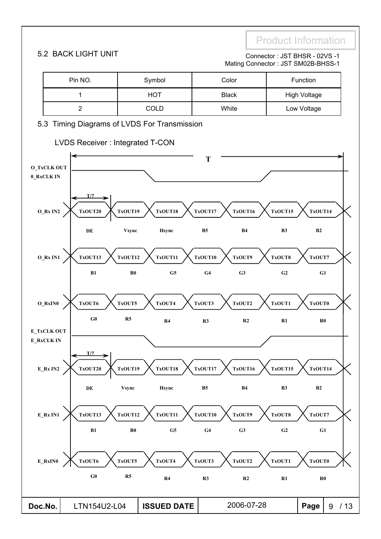#### 5.2 BACK LIGHT UNIT **Connector : JST BHSR - 02VS -1** Mating Connector : JST SM02B-BHSS-1

| Pin NO. | Symbol      | Color        | Function            |
|---------|-------------|--------------|---------------------|
|         | <b>HOT</b>  | <b>Black</b> | <b>High Voltage</b> |
|         | <b>COLD</b> | White        | Low Voltage         |

#### 5.3 Timing Diagrams of LVDS For Transmission



#### LVDS Receiver : Integrated T-CON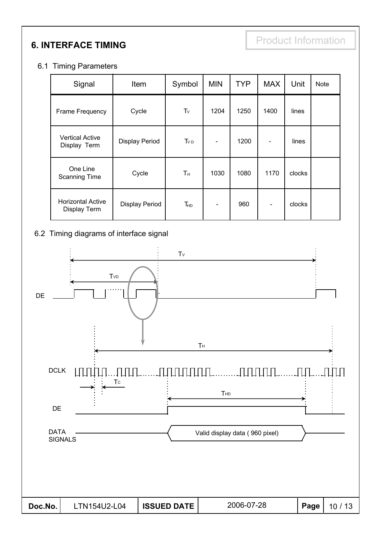**6. INTERFACE TIMING** 

#### 6.1 Timing Parameters

| Signal                                          | Item                  | Symbol          | <b>MIN</b> | <b>TYP</b> | <b>MAX</b> | Unit   | <b>Note</b> |
|-------------------------------------------------|-----------------------|-----------------|------------|------------|------------|--------|-------------|
| Frame Frequency                                 | Cycle                 | $T_v$           | 1204       | 1250       | 1400       | lines  |             |
| <b>Vertical Active</b><br>Display Term          | <b>Display Period</b> | TvD             |            | 1200       |            | lines  |             |
| One Line<br><b>Scanning Time</b>                | Cycle                 | T <sub>H</sub>  | 1030       | 1080       | 1170       | clocks |             |
| <b>Horizontal Active</b><br><b>Display Term</b> | <b>Display Period</b> | T <sub>HD</sub> |            | 960        |            | clocks |             |

#### 6.2 Timing diagrams of interface signal

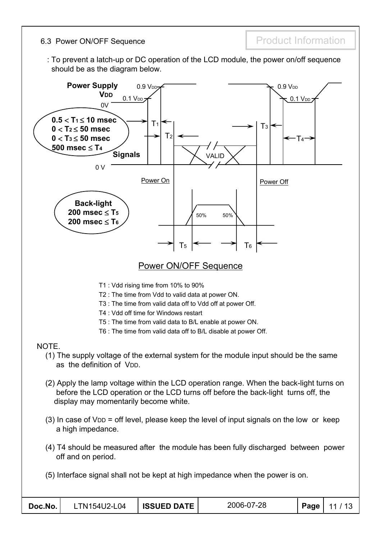6.3 Power ON/OFF Sequence **Product Information** 

: To prevent a latch-up or DC operation of the LCD module, the power on/off sequence should be as the diagram below.

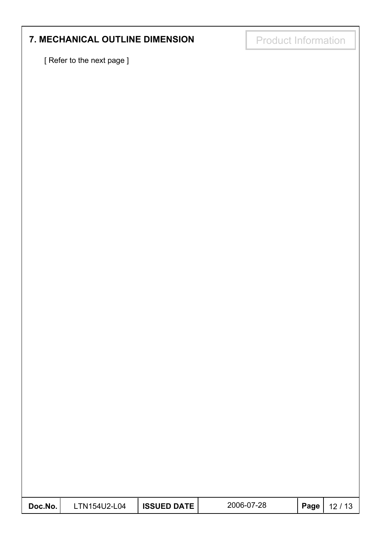# **7. MECHANICAL OUTLINE DIMENSION Froduct Information**

[ Refer to the next page ]

| Doc.No. | LTN154U2-L04 | <b>ISSUED DATE</b> | 2006-07-28 | Page $ $ | 12/13 |
|---------|--------------|--------------------|------------|----------|-------|
|---------|--------------|--------------------|------------|----------|-------|